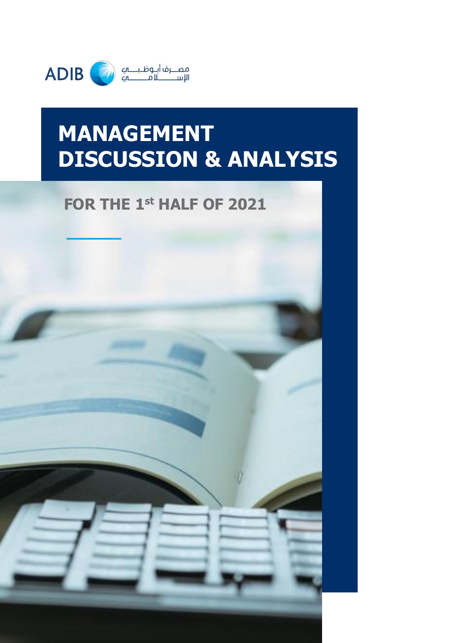

# **MANAGEMENT DISCUSSION & ANALYSIS**

# **FOR THE 1 st HALF OF 2021**

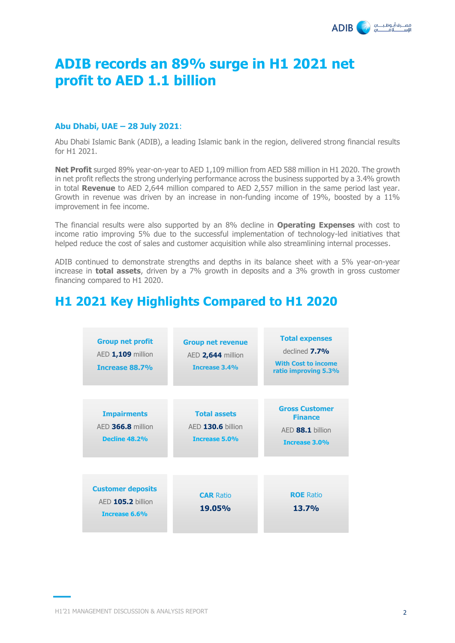

# **ADIB records an 89% surge in H1 2021 net profit to AED 1.1 billion**

### **Abu Dhabi, UAE – 28 July 2021**:

Abu Dhabi Islamic Bank (ADIB), a leading Islamic bank in the region, delivered strong financial results for H1 2021.

**Net Profit** surged 89% year-on-year to AED 1,109 million from AED 588 million in H1 2020. The growth in net profit reflects the strong underlying performance across the business supported by a 3.4% growth in total **Revenue** to AED 2,644 million compared to AED 2,557 million in the same period last year. Growth in revenue was driven by an increase in non-funding income of 19%, boosted by a 11% improvement in fee income.

The financial results were also supported by an 8% decline in **Operating Expenses** with cost to income ratio improving 5% due to the successful implementation of technology-led initiatives that helped reduce the cost of sales and customer acquisition while also streamlining internal processes.

ADIB continued to demonstrate strengths and depths in its balance sheet with a 5% year-on-year increase in **total assets**, driven by a 7% growth in deposits and a 3% growth in gross customer financing compared to H1 2020.

# **H1 2021 Key Highlights Compared to H1 2020**

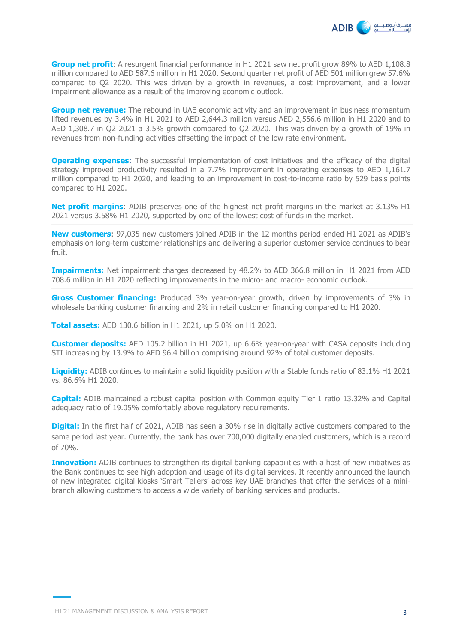

**Group net profit**: A resurgent financial performance in H1 2021 saw net profit grow 89% to AED 1,108.8 million compared to AED 587.6 million in H1 2020. Second quarter net profit of AED 501 million grew 57.6% compared to Q2 2020. This was driven by a growth in revenues, a cost improvement, and a lower impairment allowance as a result of the improving economic outlook.

**Group net revenue:** The rebound in UAE economic activity and an improvement in business momentum lifted revenues by 3.4% in H1 2021 to AED 2,644.3 million versus AED 2,556.6 million in H1 2020 and to AED 1,308.7 in Q2 2021 a 3.5% growth compared to Q2 2020. This was driven by a growth of 19% in revenues from non-funding activities offsetting the impact of the low rate environment.

**Operating expenses:** The successful implementation of cost initiatives and the efficacy of the digital strategy improved productivity resulted in a 7.7% improvement in operating expenses to AED 1,161.7 million compared to H1 2020, and leading to an improvement in cost-to-income ratio by 529 basis points compared to H1 2020.

**Net profit margins:** ADIB preserves one of the highest net profit margins in the market at 3.13% H1 2021 versus 3.58% H1 2020, supported by one of the lowest cost of funds in the market.

**New customers**: 97,035 new customers joined ADIB in the 12 months period ended H1 2021 as ADIB's emphasis on long-term customer relationships and delivering a superior customer service continues to bear fruit.

**Impairments:** Net impairment charges decreased by 48.2% to AED 366.8 million in H1 2021 from AED 708.6 million in H1 2020 reflecting improvements in the micro- and macro- economic outlook.

**Gross Customer financing:** Produced 3% year-on-year growth, driven by improvements of 3% in wholesale banking customer financing and 2% in retail customer financing compared to H1 2020.

**Total assets:** AED 130.6 billion in H1 2021, up 5.0% on H1 2020.

**Customer deposits:** AED 105.2 billion in H1 2021, up 6.6% year-on-year with CASA deposits including STI increasing by 13.9% to AED 96.4 billion comprising around 92% of total customer deposits.

**Liquidity:** ADIB continues to maintain a solid liquidity position with a Stable funds ratio of 83.1% H1 2021 vs. 86.6% H1 2020.

**Capital:** ADIB maintained a robust capital position with Common equity Tier 1 ratio 13.32% and Capital adequacy ratio of 19.05% comfortably above regulatory requirements.

**Digital:** In the first half of 2021, ADIB has seen a 30% rise in digitally active customers compared to the same period last year. Currently, the bank has over 700,000 digitally enabled customers, which is a record of 70%.

**Innovation:** ADIB continues to strengthen its digital banking capabilities with a host of new initiatives as the Bank continues to see high adoption and usage of its digital services. It recently announced the launch of new integrated digital kiosks 'Smart Tellers' across key UAE branches that offer the services of a minibranch allowing customers to access a wide variety of banking services and products.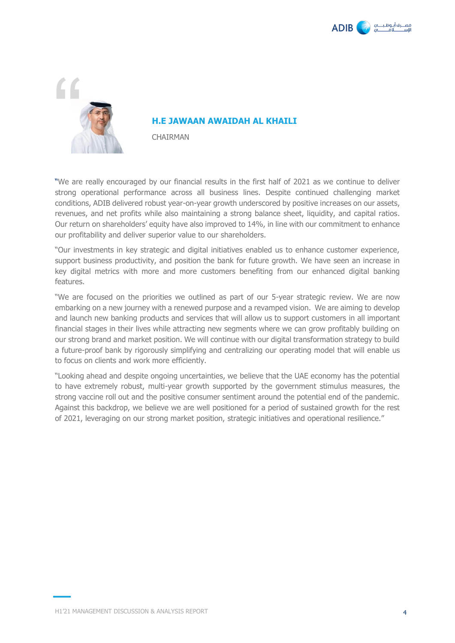



#### **H.E JAWAAN AWAIDAH AL KHAILI**

CHAIRMAN

"We are really encouraged by our financial results in the first half of 2021 as we continue to deliver strong operational performance across all business lines. Despite continued challenging market conditions, ADIB delivered robust year-on-year growth underscored by positive increases on our assets, revenues, and net profits while also maintaining a strong balance sheet, liquidity, and capital ratios. Our return on shareholders' equity have also improved to 14%, in line with our commitment to enhance our profitability and deliver superior value to our shareholders.

"Our investments in key strategic and digital initiatives enabled us to enhance customer experience, support business productivity, and position the bank for future growth. We have seen an increase in key digital metrics with more and more customers benefiting from our enhanced digital banking features.

"We are focused on the priorities we outlined as part of our 5-year strategic review. We are now embarking on a new journey with a renewed purpose and a revamped vision. We are aiming to develop and launch new banking products and services that will allow us to support customers in all important financial stages in their lives while attracting new segments where we can grow profitably building on our strong brand and market position. We will continue with our digital transformation strategy to build a future-proof bank by rigorously simplifying and centralizing our operating model that will enable us to focus on clients and work more efficiently.

"Looking ahead and despite ongoing uncertainties, we believe that the UAE economy has the potential to have extremely robust, multi-year growth supported by the government stimulus measures, the strong vaccine roll out and the positive consumer sentiment around the potential end of the pandemic. Against this backdrop, we believe we are well positioned for a period of sustained growth for the rest of 2021, leveraging on our strong market position, strategic initiatives and operational resilience."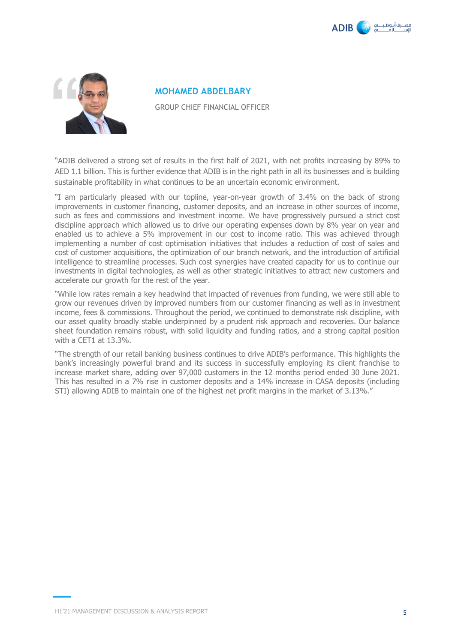



**MOHAMED ABDELBARY** GROUP CHIEF FINANCIAL OFFICER

"ADIB delivered a strong set of results in the first half of 2021, with net profits increasing by 89% to AED 1.1 billion. This is further evidence that ADIB is in the right path in all its businesses and is building sustainable profitability in what continues to be an uncertain economic environment.

"I am particularly pleased with our topline, year-on-year growth of 3.4% on the back of strong improvements in customer financing, customer deposits, and an increase in other sources of income, such as fees and commissions and investment income. We have progressively pursued a strict cost discipline approach which allowed us to drive our operating expenses down by 8% year on year and enabled us to achieve a 5% improvement in our cost to income ratio. This was achieved through implementing a number of cost optimisation initiatives that includes a reduction of cost of sales and cost of customer acquisitions, the optimization of our branch network, and the introduction of artificial intelligence to streamline processes. Such cost synergies have created capacity for us to continue our investments in digital technologies, as well as other strategic initiatives to attract new customers and accelerate our growth for the rest of the year.

"While low rates remain a key headwind that impacted of revenues from funding, we were still able to grow our revenues driven by improved numbers from our customer financing as well as in investment income, fees & commissions. Throughout the period, we continued to demonstrate risk discipline, with our asset quality broadly stable underpinned by a prudent risk approach and recoveries. Our balance sheet foundation remains robust, with solid liquidity and funding ratios, and a strong capital position with a CET1 at 13.3%.

"The strength of our retail banking business continues to drive ADIB's performance. This highlights the bank's increasingly powerful brand and its success in successfully employing its client franchise to increase market share, adding over 97,000 customers in the 12 months period ended 30 June 2021. This has resulted in a 7% rise in customer deposits and a 14% increase in CASA deposits (including STI) allowing ADIB to maintain one of the highest net profit margins in the market of 3.13%."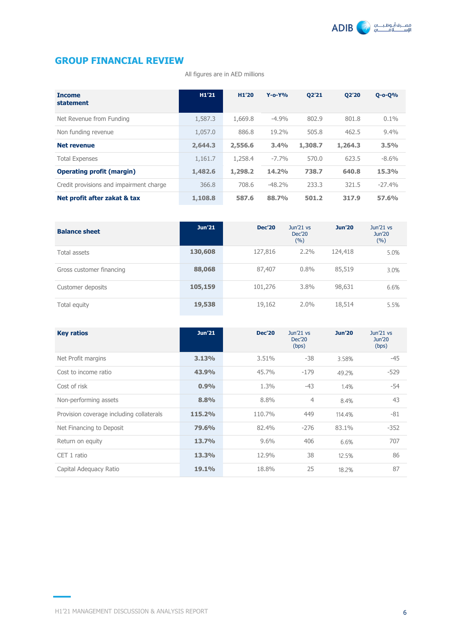

# **GROUP FINANCIAL REVIEW**

All figures are in AED millions

| <b>Income</b><br>statement              | H1'21   | H <sub>1</sub> '20 | $Y$ -o- $Y$ % | <b>Q2'21</b> | 02'20   | $Q - O - Q$ % |
|-----------------------------------------|---------|--------------------|---------------|--------------|---------|---------------|
| Net Revenue from Funding                | 1,587.3 | 1,669.8            | $-4.9%$       | 802.9        | 801.8   | $0.1\%$       |
| Non funding revenue                     | 1,057.0 | 886.8              | 19.2%         | 505.8        | 462.5   | 9.4%          |
| <b>Net revenue</b>                      | 2,644.3 | 2,556.6            | 3.4%          | 1,308.7      | 1,264.3 | 3.5%          |
| <b>Total Expenses</b>                   | 1,161.7 | 1,258.4            | $-7.7\%$      | 570.0        | 623.5   | $-8.6\%$      |
| <b>Operating profit (margin)</b>        | 1,482.6 | 1,298.2            | 14.2%         | 738.7        | 640.8   | 15.3%         |
| Credit provisions and impairment charge | 366.8   | 708.6              | $-48.2%$      | 233.3        | 321.5   | $-27.4%$      |
| Net profit after zakat & tax            | 1,108.8 | 587.6              | 88.7%         | 501.2        | 317.9   | 57.6%         |

| <b>Balance sheet</b>     | <b>Jun'21</b> | <b>Dec'20</b> | Jun'21 vs<br>Dec'20<br>(%) | <b>Jun'20</b> | Jun'21 vs<br>Jun'20<br>(%) |
|--------------------------|---------------|---------------|----------------------------|---------------|----------------------------|
| Total assets             | 130,608       | 127,816       | 2.2%                       | 124,418       | 5.0%                       |
| Gross customer financing | 88,068        | 87,407        | 0.8%                       | 85,519        | 3.0%                       |
| Customer deposits        | 105,159       | 101,276       | 3.8%                       | 98,631        | 6.6%                       |
| Total equity             | 19,538        | 19,162        | $2.0\%$                    | 18,514        | 5.5%                       |

| <b>Key ratios</b>                        | Jun'21 | <b>Dec'20</b> | Jun'21 vs<br><b>Dec'20</b><br>(bps) | <b>Jun'20</b> | Jun'21 vs<br><b>Jun'20</b><br>(bps) |
|------------------------------------------|--------|---------------|-------------------------------------|---------------|-------------------------------------|
| Net Profit margins                       | 3.13%  | 3.51%         | -38                                 | 3.58%         | $-45$                               |
| Cost to income ratio                     | 43.9%  | 45.7%         | $-179$                              | 49.2%         | $-529$                              |
| Cost of risk                             | 0.9%   | 1.3%          | $-43$                               | 1.4%          | $-54$                               |
| Non-performing assets                    | 8.8%   | 8.8%          | $\overline{4}$                      | 8.4%          | 43                                  |
| Provision coverage including collaterals | 115.2% | 110.7%        | 449                                 | 114.4%        | $-81$                               |
| Net Financing to Deposit                 | 79.6%  | 82.4%         | $-276$                              | 83.1%         | $-352$                              |
| Return on equity                         | 13.7%  | 9.6%          | 406                                 | 6.6%          | 707                                 |
| CET 1 ratio                              | 13.3%  | 12.9%         | 38                                  | 12.5%         | 86                                  |
| Capital Adequacy Ratio                   | 19.1%  | 18.8%         | 25                                  | 18.2%         | 87                                  |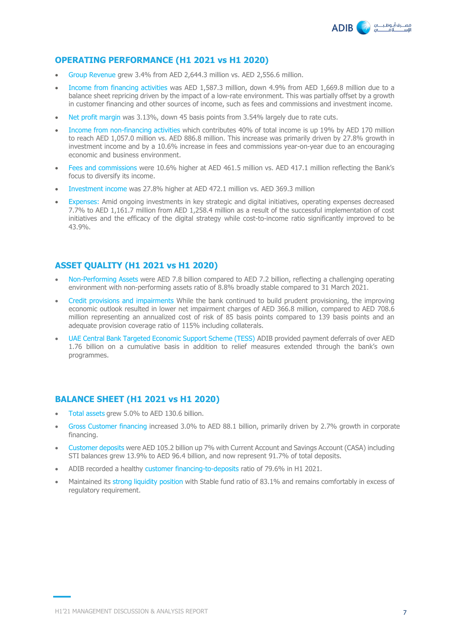

## **OPERATING PERFORMANCE (H1 2021 vs H1 2020)**

- Group Revenue grew 3.4% from AED 2,644.3 million vs. AED 2,556.6 million.
- Income from financing activities was AED 1,587.3 million, down 4.9% from AED 1,669.8 million due to a balance sheet repricing driven by the impact of a low-rate environment. This was partially offset by a growth in customer financing and other sources of income, such as fees and commissions and investment income.
- Net profit margin was 3.13%, down 45 basis points from 3.54% largely due to rate cuts.
- Income from non-financing activities which contributes 40% of total income is up 19% by AED 170 million to reach AED 1,057.0 million vs. AED 886.8 million. This increase was primarily driven by 27.8% growth in investment income and by a 10.6% increase in fees and commissions year-on-year due to an encouraging economic and business environment.
- Fees and commissions were 10.6% higher at AED 461.5 million vs. AED 417.1 million reflecting the Bank's focus to diversify its income.
- Investment income was 27.8% higher at AED 472.1 million vs. AED 369.3 million
- Expenses: Amid ongoing investments in key strategic and digital initiatives, operating expenses decreased 7.7% to AED 1,161.7 million from AED 1,258.4 million as a result of the successful implementation of cost initiatives and the efficacy of the digital strategy while cost-to-income ratio significantly improved to be 43.9%.

#### **ASSET QUALITY (H1 2021 vs H1 2020)**

- Non-Performing Assets were AED 7.8 billion compared to AED 7.2 billion, reflecting a challenging operating environment with non-performing assets ratio of 8.8% broadly stable compared to 31 March 2021.
- Credit provisions and impairments While the bank continued to build prudent provisioning, the improving economic outlook resulted in lower net impairment charges of AED 366.8 million, compared to AED 708.6 million representing an annualized cost of risk of 85 basis points compared to 139 basis points and an adequate provision coverage ratio of 115% including collaterals.
- UAE Central Bank Targeted Economic Support Scheme (TESS) ADIB provided payment deferrals of over AED 1.76 billion on a cumulative basis in addition to relief measures extended through the bank's own programmes.

### **BALANCE SHEET (H1 2021 vs H1 2020)**

- Total assets grew 5.0% to AED 130.6 billion.
- Gross Customer financing increased 3.0% to AED 88.1 billion, primarily driven by 2.7% growth in corporate financing.
- Customer deposits were AED 105.2 billion up 7% with Current Account and Savings Account (CASA) including STI balances grew 13.9% to AED 96.4 billion, and now represent 91.7% of total deposits.
- ADIB recorded a healthy customer financing-to-deposits ratio of 79.6% in H1 2021.
- Maintained its strong liquidity position with Stable fund ratio of 83.1% and remains comfortably in excess of regulatory requirement.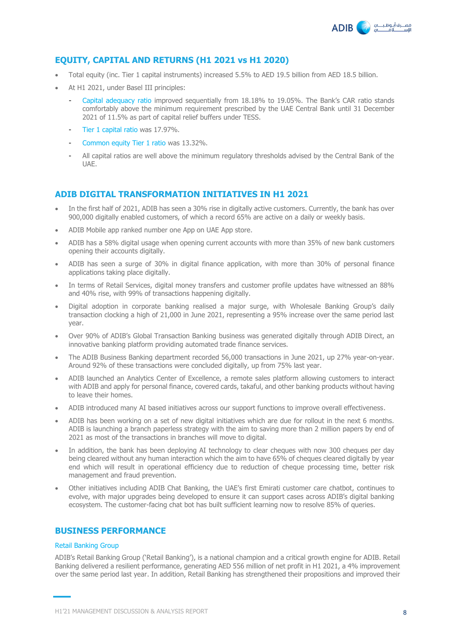

# **EQUITY, CAPITAL AND RETURNS (H1 2021 vs H1 2020)**

- Total equity (inc. Tier 1 capital instruments) increased 5.5% to AED 19.5 billion from AED 18.5 billion.
- At H1 2021, under Basel III principles:
	- Capital adequacy ratio improved sequentially from 18.18% to 19.05%. The Bank's CAR ratio stands comfortably above the minimum requirement prescribed by the UAE Central Bank until 31 December 2021 of 11.5% as part of capital relief buffers under TESS.
	- Tier 1 capital ratio was 17.97%.
	- Common equity Tier 1 ratio was 13.32%.
	- All capital ratios are well above the minimum regulatory thresholds advised by the Central Bank of the UAE.

## **ADIB DIGITAL TRANSFORMATION INITIATIVES IN H1 2021**

- In the first half of 2021, ADIB has seen a 30% rise in digitally active customers. Currently, the bank has over 900,000 digitally enabled customers, of which a record 65% are active on a daily or weekly basis.
- ADIB Mobile app ranked number one App on UAE App store.
- ADIB has a 58% digital usage when opening current accounts with more than 35% of new bank customers opening their accounts digitally.
- ADIB has seen a surge of 30% in digital finance application, with more than 30% of personal finance applications taking place digitally.
- In terms of Retail Services, digital money transfers and customer profile updates have witnessed an 88% and 40% rise, with 99% of transactions happening digitally.
- Digital adoption in corporate banking realised a major surge, with Wholesale Banking Group's daily transaction clocking a high of 21,000 in June 2021, representing a 95% increase over the same period last year.
- Over 90% of ADIB's Global Transaction Banking business was generated digitally through ADIB Direct, an innovative banking platform providing automated trade finance services.
- The ADIB Business Banking department recorded 56,000 transactions in June 2021, up 27% year-on-year. Around 92% of these transactions were concluded digitally, up from 75% last year.
- ADIB launched an Analytics Center of Excellence, a remote sales platform allowing customers to interact with ADIB and apply for personal finance, covered cards, takaful, and other banking products without having to leave their homes.
- ADIB introduced many AI based initiatives across our support functions to improve overall effectiveness.
- ADIB has been working on a set of new digital initiatives which are due for rollout in the next 6 months. ADIB is launching a branch paperless strategy with the aim to saving more than 2 million papers by end of 2021 as most of the transactions in branches will move to digital.
- In addition, the bank has been deploying AI technology to clear cheques with now 300 cheques per day being cleared without any human interaction which the aim to have 65% of cheques cleared digitally by year end which will result in operational efficiency due to reduction of cheque processing time, better risk management and fraud prevention.
- Other initiatives including ADIB Chat Banking, the UAE's first Emirati customer care chatbot, continues to evolve, with major upgrades being developed to ensure it can support cases across ADIB's digital banking ecosystem. The customer-facing chat bot has built sufficient learning now to resolve 85% of queries.

# **BUSINESS PERFORMANCE**

#### Retail Banking Group

ADIB's Retail Banking Group ('Retail Banking'), is a national champion and a critical growth engine for ADIB. Retail Banking delivered a resilient performance, generating AED 556 million of net profit in H1 2021, a 4% improvement over the same period last year. In addition, Retail Banking has strengthened their propositions and improved their